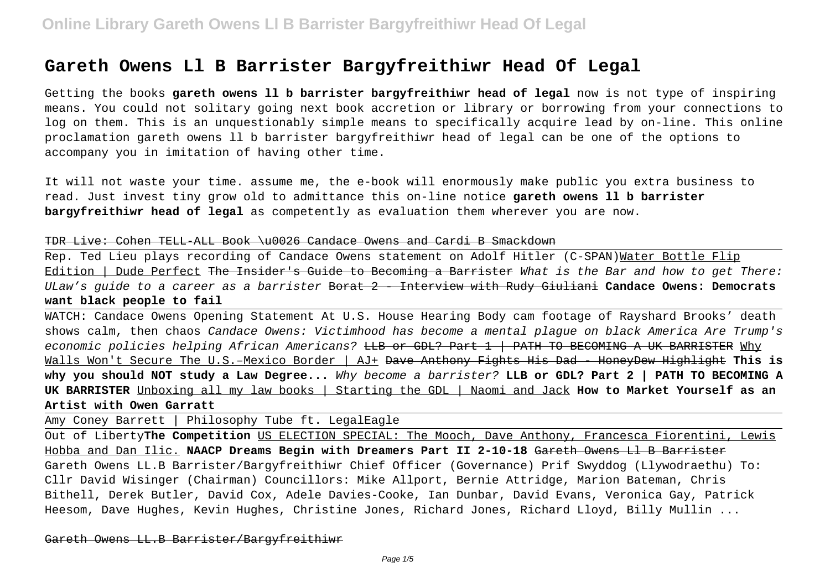# **Gareth Owens Ll B Barrister Bargyfreithiwr Head Of Legal**

Getting the books **gareth owens ll b barrister bargyfreithiwr head of legal** now is not type of inspiring means. You could not solitary going next book accretion or library or borrowing from your connections to log on them. This is an unquestionably simple means to specifically acquire lead by on-line. This online proclamation gareth owens ll b barrister bargyfreithiwr head of legal can be one of the options to accompany you in imitation of having other time.

It will not waste your time. assume me, the e-book will enormously make public you extra business to read. Just invest tiny grow old to admittance this on-line notice **gareth owens ll b barrister bargyfreithiwr head of legal** as competently as evaluation them wherever you are now.

### TDR Live: Cohen TELL-ALL Book \u0026 Candace Owens and Cardi B Smackdown

Rep. Ted Lieu plays recording of Candace Owens statement on Adolf Hitler (C-SPAN)Water Bottle Flip Edition | Dude Perfect The Insider's Guide to Becoming a Barrister What is the Bar and how to get There: ULaw's guide to a career as a barrister Borat 2 - Interview with Rudy Giuliani **Candace Owens: Democrats want black people to fail**

WATCH: Candace Owens Opening Statement At U.S. House Hearing Body cam footage of Rayshard Brooks' death shows calm, then chaos Candace Owens: Victimhood has become a mental plague on black America Are Trump's economic policies helping African Americans? <del>LLB or GDL? Part 1 | PATH TO BECOMING A UK BARRISTER</del> Why Walls Won't Secure The U.S.–Mexico Border | AJ+ Dave Anthony Fights His Dad - HoneyDew Highlight **This is why you should NOT study a Law Degree...** Why become a barrister? **LLB or GDL? Part 2 | PATH TO BECOMING A UK BARRISTER** Unboxing all my law books | Starting the GDL | Naomi and Jack **How to Market Yourself as an Artist with Owen Garratt**

Amy Coney Barrett | Philosophy Tube ft. LegalEagle

Out of Liberty**The Competition** US ELECTION SPECIAL: The Mooch, Dave Anthony, Francesca Fiorentini, Lewis Hobba and Dan Ilic. **NAACP Dreams Begin with Dreamers Part II 2-10-18** Gareth Owens Ll B Barrister Gareth Owens LL.B Barrister/Bargyfreithiwr Chief Officer (Governance) Prif Swyddog (Llywodraethu) To: Cllr David Wisinger (Chairman) Councillors: Mike Allport, Bernie Attridge, Marion Bateman, Chris Bithell, Derek Butler, David Cox, Adele Davies-Cooke, Ian Dunbar, David Evans, Veronica Gay, Patrick Heesom, Dave Hughes, Kevin Hughes, Christine Jones, Richard Jones, Richard Lloyd, Billy Mullin ...

Gareth Owens LL.B Barrister/Bargyfreithiwr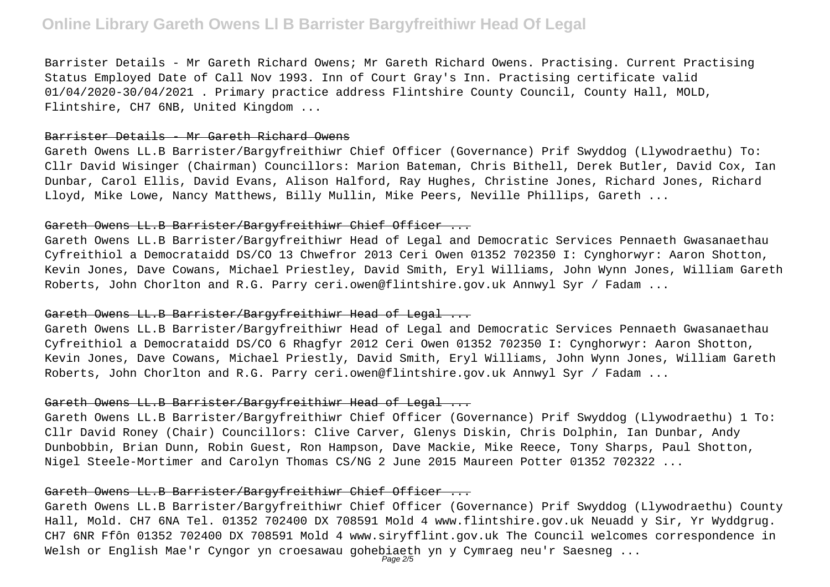# **Online Library Gareth Owens Ll B Barrister Bargyfreithiwr Head Of Legal**

Barrister Details - Mr Gareth Richard Owens; Mr Gareth Richard Owens. Practising. Current Practising Status Employed Date of Call Nov 1993. Inn of Court Gray's Inn. Practising certificate valid 01/04/2020-30/04/2021 . Primary practice address Flintshire County Council, County Hall, MOLD, Flintshire, CH7 6NB, United Kingdom ...

### Barrister Details - Mr Gareth Richard Owens

Gareth Owens LL.B Barrister/Bargyfreithiwr Chief Officer (Governance) Prif Swyddog (Llywodraethu) To: Cllr David Wisinger (Chairman) Councillors: Marion Bateman, Chris Bithell, Derek Butler, David Cox, Ian Dunbar, Carol Ellis, David Evans, Alison Halford, Ray Hughes, Christine Jones, Richard Jones, Richard Lloyd, Mike Lowe, Nancy Matthews, Billy Mullin, Mike Peers, Neville Phillips, Gareth ...

# Gareth Owens LL.B Barrister/Bargyfreithiwr Chief Officer ...

Gareth Owens LL.B Barrister/Bargyfreithiwr Head of Legal and Democratic Services Pennaeth Gwasanaethau Cyfreithiol a Democrataidd DS/CO 13 Chwefror 2013 Ceri Owen 01352 702350 I: Cynghorwyr: Aaron Shotton, Kevin Jones, Dave Cowans, Michael Priestley, David Smith, Eryl Williams, John Wynn Jones, William Gareth Roberts, John Chorlton and R.G. Parry ceri.owen@flintshire.gov.uk Annwyl Syr / Fadam ...

# Gareth Owens LL.B Barrister/Bargyfreithiwr Head of Legal ...

Gareth Owens LL.B Barrister/Bargyfreithiwr Head of Legal and Democratic Services Pennaeth Gwasanaethau Cyfreithiol a Democrataidd DS/CO 6 Rhagfyr 2012 Ceri Owen 01352 702350 I: Cynghorwyr: Aaron Shotton, Kevin Jones, Dave Cowans, Michael Priestly, David Smith, Eryl Williams, John Wynn Jones, William Gareth Roberts, John Chorlton and R.G. Parry ceri.owen@flintshire.gov.uk Annwyl Syr / Fadam ...

## Gareth Owens LL.B Barrister/Bargyfreithiwr Head of Legal ...

Gareth Owens LL.B Barrister/Bargyfreithiwr Chief Officer (Governance) Prif Swyddog (Llywodraethu) 1 To: Cllr David Roney (Chair) Councillors: Clive Carver, Glenys Diskin, Chris Dolphin, Ian Dunbar, Andy Dunbobbin, Brian Dunn, Robin Guest, Ron Hampson, Dave Mackie, Mike Reece, Tony Sharps, Paul Shotton, Nigel Steele-Mortimer and Carolyn Thomas CS/NG 2 June 2015 Maureen Potter 01352 702322 ...

### Gareth Owens LL.B Barrister/Bargyfreithiwr Chief Officer ...

Gareth Owens LL.B Barrister/Bargyfreithiwr Chief Officer (Governance) Prif Swyddog (Llywodraethu) County Hall, Mold. CH7 6NA Tel. 01352 702400 DX 708591 Mold 4 www.flintshire.gov.uk Neuadd y Sir, Yr Wyddgrug. CH7 6NR Ffôn 01352 702400 DX 708591 Mold 4 www.siryfflint.gov.uk The Council welcomes correspondence in Welsh or English Mae'r Cyngor yn croesawau gohebiaeth yn y Cymraeg neu'r Saesneg ...<br>Page2/5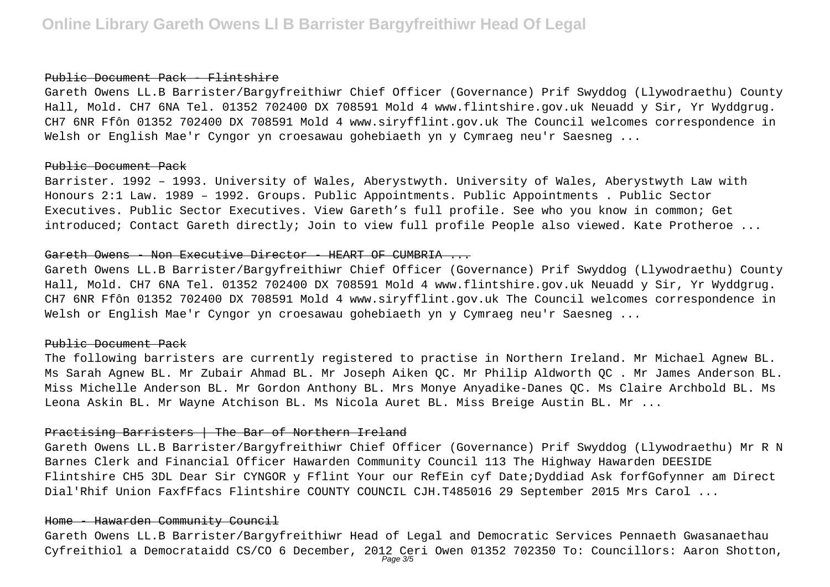#### Public Document Pack - Flintshire

Gareth Owens LL.B Barrister/Bargyfreithiwr Chief Officer (Governance) Prif Swyddog (Llywodraethu) County Hall, Mold. CH7 6NA Tel. 01352 702400 DX 708591 Mold 4 www.flintshire.gov.uk Neuadd y Sir, Yr Wyddgrug. CH7 6NR Ffôn 01352 702400 DX 708591 Mold 4 www.siryfflint.gov.uk The Council welcomes correspondence in Welsh or English Mae'r Cyngor yn croesawau gohebiaeth yn y Cymraeg neu'r Saesneg ...

### Public Document Pack

Barrister. 1992 – 1993. University of Wales, Aberystwyth. University of Wales, Aberystwyth Law with Honours 2:1 Law. 1989 – 1992. Groups. Public Appointments. Public Appointments . Public Sector Executives. Public Sector Executives. View Gareth's full profile. See who you know in common; Get introduced; Contact Gareth directly; Join to view full profile People also viewed. Kate Protheroe ...

#### Gareth Owens - Non Executive Director - HEART OF CUMBRIA ...

Gareth Owens LL.B Barrister/Bargyfreithiwr Chief Officer (Governance) Prif Swyddog (Llywodraethu) County Hall, Mold. CH7 6NA Tel. 01352 702400 DX 708591 Mold 4 www.flintshire.gov.uk Neuadd y Sir, Yr Wyddgrug. CH7 6NR Ffôn 01352 702400 DX 708591 Mold 4 www.siryfflint.gov.uk The Council welcomes correspondence in Welsh or English Mae'r Cyngor yn croesawau gohebiaeth yn y Cymraeg neu'r Saesneg ...

### Public Document Pack

The following barristers are currently registered to practise in Northern Ireland. Mr Michael Agnew BL. Ms Sarah Agnew BL. Mr Zubair Ahmad BL. Mr Joseph Aiken QC. Mr Philip Aldworth QC . Mr James Anderson BL. Miss Michelle Anderson BL. Mr Gordon Anthony BL. Mrs Monye Anyadike-Danes QC. Ms Claire Archbold BL. Ms Leona Askin BL. Mr Wayne Atchison BL. Ms Nicola Auret BL. Miss Breige Austin BL. Mr ...

# Practising Barristers | The Bar of Northern Ireland

Gareth Owens LL.B Barrister/Bargyfreithiwr Chief Officer (Governance) Prif Swyddog (Llywodraethu) Mr R N Barnes Clerk and Financial Officer Hawarden Community Council 113 The Highway Hawarden DEESIDE Flintshire CH5 3DL Dear Sir CYNGOR y Fflint Your our RefEin cyf Date;Dyddiad Ask forfGofynner am Direct Dial'Rhif Union FaxfFfacs Flintshire COUNTY COUNCIL CJH.T485016 29 September 2015 Mrs Carol ...

#### Home - Hawarden Community Council

Gareth Owens LL.B Barrister/Bargyfreithiwr Head of Legal and Democratic Services Pennaeth Gwasanaethau Cyfreithiol a Democrataidd CS/CO 6 December, 2012 Ceri Owen 01352 702350 To: Councillors: Aaron Shotton, Page 3/5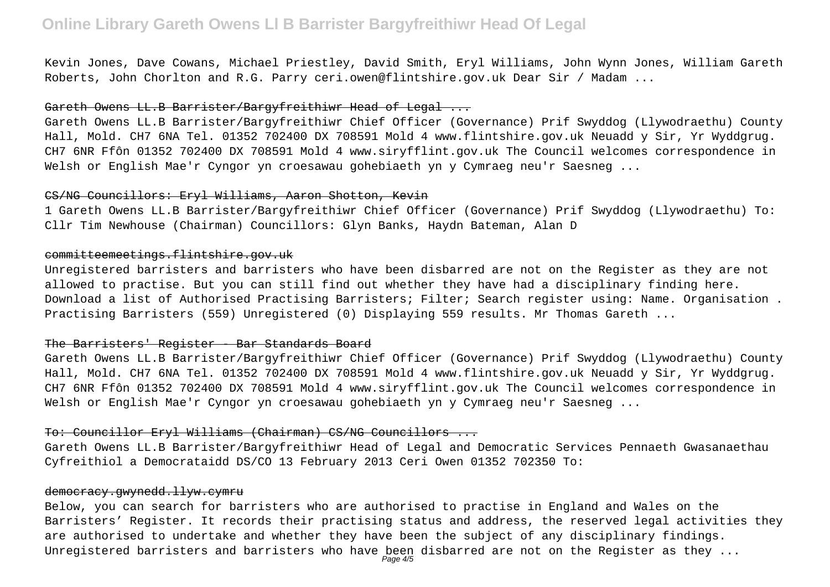# **Online Library Gareth Owens Ll B Barrister Bargyfreithiwr Head Of Legal**

Kevin Jones, Dave Cowans, Michael Priestley, David Smith, Eryl Williams, John Wynn Jones, William Gareth Roberts, John Chorlton and R.G. Parry ceri.owen@flintshire.gov.uk Dear Sir / Madam ...

## Gareth Owens LL.B Barrister/Bargyfreithiwr Head of Legal ...

Gareth Owens LL.B Barrister/Bargyfreithiwr Chief Officer (Governance) Prif Swyddog (Llywodraethu) County Hall, Mold. CH7 6NA Tel. 01352 702400 DX 708591 Mold 4 www.flintshire.gov.uk Neuadd y Sir, Yr Wyddgrug. CH7 6NR Ffôn 01352 702400 DX 708591 Mold 4 www.siryfflint.gov.uk The Council welcomes correspondence in Welsh or English Mae'r Cyngor yn croesawau gohebiaeth yn y Cymraeg neu'r Saesneg ...

### CS/NG Councillors: Eryl Williams, Aaron Shotton, Kevin

1 Gareth Owens LL.B Barrister/Bargyfreithiwr Chief Officer (Governance) Prif Swyddog (Llywodraethu) To: Cllr Tim Newhouse (Chairman) Councillors: Glyn Banks, Haydn Bateman, Alan D

## committeemeetings.flintshire.gov.uk

Unregistered barristers and barristers who have been disbarred are not on the Register as they are not allowed to practise. But you can still find out whether they have had a disciplinary finding here. Download a list of Authorised Practising Barristers; Filter; Search register using: Name. Organisation . Practising Barristers (559) Unregistered (0) Displaying 559 results. Mr Thomas Gareth ...

# The Barristers' Register - Bar Standards Board

Gareth Owens LL.B Barrister/Bargyfreithiwr Chief Officer (Governance) Prif Swyddog (Llywodraethu) County Hall, Mold. CH7 6NA Tel. 01352 702400 DX 708591 Mold 4 www.flintshire.gov.uk Neuadd y Sir, Yr Wyddgrug. CH7 6NR Ffôn 01352 702400 DX 708591 Mold 4 www.siryfflint.gov.uk The Council welcomes correspondence in Welsh or English Mae'r Cyngor yn croesawau gohebiaeth yn y Cymraeg neu'r Saesneg ...

### To: Councillor Eryl Williams (Chairman) CS/NG Councillors ...

Gareth Owens LL.B Barrister/Bargyfreithiwr Head of Legal and Democratic Services Pennaeth Gwasanaethau Cyfreithiol a Democrataidd DS/CO 13 February 2013 Ceri Owen 01352 702350 To:

## democracy.gwynedd.llyw.cymru

Below, you can search for barristers who are authorised to practise in England and Wales on the Barristers' Register. It records their practising status and address, the reserved legal activities they are authorised to undertake and whether they have been the subject of any disciplinary findings. Unregistered barristers and barristers who have been disbarred are not on the Register as they  $\dots$